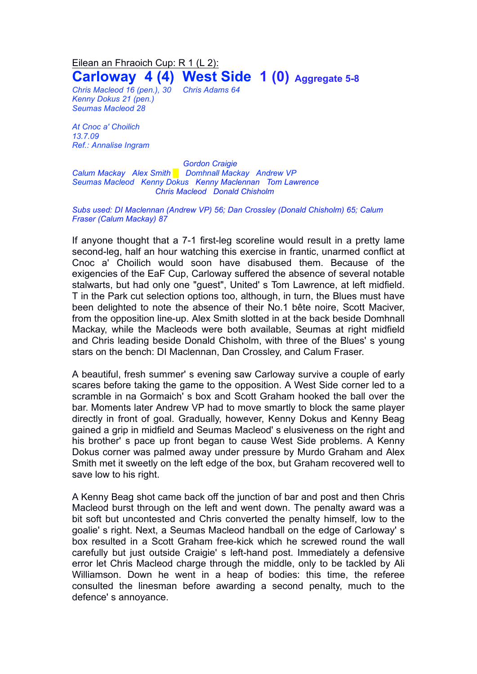## Eilean an Fhraoich Cup: R 1 (L 2): **Carloway 4 (4) West Side 1 (0) Aggregate 5-8**

*Chris Macleod 16 (pen.), 30 Chris Adams 64 Kenny Dokus 21 (pen.) Seumas Macleod 28*

*At Cnoc a' Choilich 13.7.09 Ref.: Annalise Ingram*

*Gordon Craigie Calum Mackay Alex Smith █ Domhnall Mackay Andrew VP Seumas Macleod Kenny Dokus Kenny Maclennan Tom Lawrence Chris Macleod Donald Chisholm*

*Subs used: DI Maclennan (Andrew VP) 56; Dan Crossley (Donald Chisholm) 65; Calum Fraser (Calum Mackay) 87*

If anyone thought that a 7-1 first-leg scoreline would result in a pretty lame second-leg, half an hour watching this exercise in frantic, unarmed conflict at Cnoc a' Choilich would soon have disabused them. Because of the exigencies of the EaF Cup, Carloway suffered the absence of several notable stalwarts, but had only one "guest", United' s Tom Lawrence, at left midfield. T in the Park cut selection options too, although, in turn, the Blues must have been delighted to note the absence of their No.1 bête noire, Scott Maciver, from the opposition line-up. Alex Smith slotted in at the back beside Domhnall Mackay, while the Macleods were both available, Seumas at right midfield and Chris leading beside Donald Chisholm, with three of the Blues' s young stars on the bench: DI Maclennan, Dan Crossley, and Calum Fraser.

A beautiful, fresh summer' s evening saw Carloway survive a couple of early scares before taking the game to the opposition. A West Side corner led to a scramble in na Gormaich' s box and Scott Graham hooked the ball over the bar. Moments later Andrew VP had to move smartly to block the same player directly in front of goal. Gradually, however, Kenny Dokus and Kenny Beag gained a grip in midfield and Seumas Macleod' s elusiveness on the right and his brother' s pace up front began to cause West Side problems. A Kenny Dokus corner was palmed away under pressure by Murdo Graham and Alex Smith met it sweetly on the left edge of the box, but Graham recovered well to save low to his right.

A Kenny Beag shot came back off the junction of bar and post and then Chris Macleod burst through on the left and went down. The penalty award was a bit soft but uncontested and Chris converted the penalty himself, low to the goalie' s right. Next, a Seumas Macleod handball on the edge of Carloway' s box resulted in a Scott Graham free-kick which he screwed round the wall carefully but just outside Craigie' s left-hand post. Immediately a defensive error let Chris Macleod charge through the middle, only to be tackled by Ali Williamson. Down he went in a heap of bodies: this time, the referee consulted the linesman before awarding a second penalty, much to the defence' s annoyance.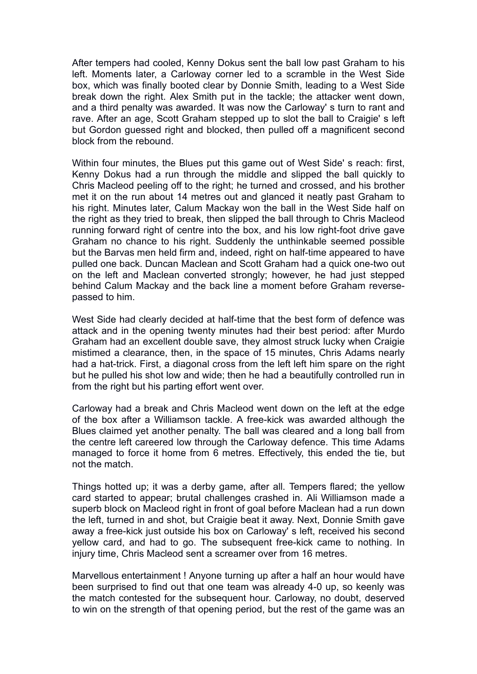After tempers had cooled, Kenny Dokus sent the ball low past Graham to his left. Moments later, a Carloway corner led to a scramble in the West Side box, which was finally booted clear by Donnie Smith, leading to a West Side break down the right. Alex Smith put in the tackle; the attacker went down, and a third penalty was awarded. It was now the Carloway' s turn to rant and rave. After an age, Scott Graham stepped up to slot the ball to Craigie' s left but Gordon guessed right and blocked, then pulled off a magnificent second block from the rebound.

Within four minutes, the Blues put this game out of West Side' s reach: first, Kenny Dokus had a run through the middle and slipped the ball quickly to Chris Macleod peeling off to the right; he turned and crossed, and his brother met it on the run about 14 metres out and glanced it neatly past Graham to his right. Minutes later, Calum Mackay won the ball in the West Side half on the right as they tried to break, then slipped the ball through to Chris Macleod running forward right of centre into the box, and his low right-foot drive gave Graham no chance to his right. Suddenly the unthinkable seemed possible but the Barvas men held firm and, indeed, right on half-time appeared to have pulled one back. Duncan Maclean and Scott Graham had a quick one-two out on the left and Maclean converted strongly; however, he had just stepped behind Calum Mackay and the back line a moment before Graham reversepassed to him.

West Side had clearly decided at half-time that the best form of defence was attack and in the opening twenty minutes had their best period: after Murdo Graham had an excellent double save, they almost struck lucky when Craigie mistimed a clearance, then, in the space of 15 minutes, Chris Adams nearly had a hat-trick. First, a diagonal cross from the left left him spare on the right but he pulled his shot low and wide; then he had a beautifully controlled run in from the right but his parting effort went over.

Carloway had a break and Chris Macleod went down on the left at the edge of the box after a Williamson tackle. A free-kick was awarded although the Blues claimed yet another penalty. The ball was cleared and a long ball from the centre left careered low through the Carloway defence. This time Adams managed to force it home from 6 metres. Effectively, this ended the tie, but not the match.

Things hotted up; it was a derby game, after all. Tempers flared; the yellow card started to appear; brutal challenges crashed in. Ali Williamson made a superb block on Macleod right in front of goal before Maclean had a run down the left, turned in and shot, but Craigie beat it away. Next, Donnie Smith gave away a free-kick just outside his box on Carloway' s left, received his second yellow card, and had to go. The subsequent free-kick came to nothing. In injury time, Chris Macleod sent a screamer over from 16 metres.

Marvellous entertainment ! Anyone turning up after a half an hour would have been surprised to find out that one team was already 4-0 up, so keenly was the match contested for the subsequent hour. Carloway, no doubt, deserved to win on the strength of that opening period, but the rest of the game was an